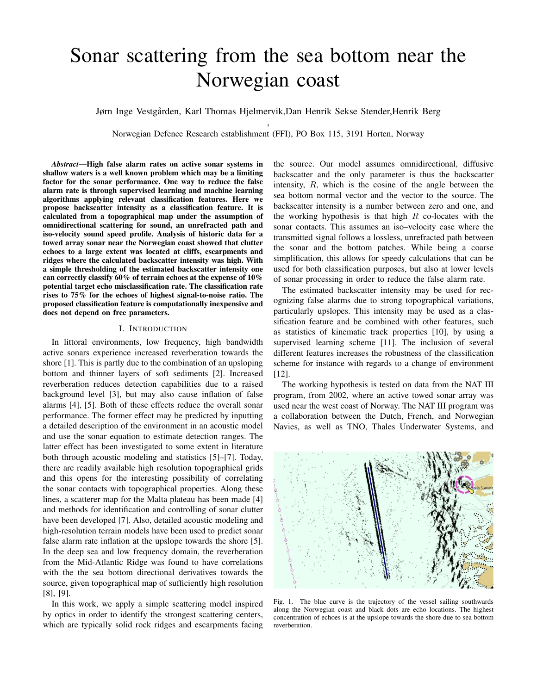# Sonar scattering from the sea bottom near the Norwegian coast

Jørn Inge Vestgården, Karl Thomas Hjelmervik,Dan Henrik Sekse Stender,Henrik Berg

, Norwegian Defence Research establishment (FFI), PO Box 115, 3191 Horten, Norway

*Abstract*—High false alarm rates on active sonar systems in shallow waters is a well known problem which may be a limiting factor for the sonar performance. One way to reduce the false alarm rate is through supervised learning and machine learning algorithms applying relevant classification features. Here we propose backscatter intensity as a classification feature. It is calculated from a topographical map under the assumption of omnidirectional scattering for sound, an unrefracted path and iso-velocity sound speed profile. Analysis of historic data for a towed array sonar near the Norwegian coast showed that clutter echoes to a large extent was located at cliffs, escarpments and ridges where the calculated backscatter intensity was high. With a simple thresholding of the estimated backscatter intensity one can correctly classify 60% of terrain echoes at the expense of 10% potential target echo misclassification rate. The classification rate rises to 75% for the echoes of highest signal-to-noise ratio. The proposed classification feature is computationally inexpensive and does not depend on free parameters.

## I. INTRODUCTION

In littoral environments, low frequency, high bandwidth active sonars experience increased reverberation towards the shore [1]. This is partly due to the combination of an upsloping bottom and thinner layers of soft sediments [2]. Increased reverberation reduces detection capabilities due to a raised background level [3], but may also cause inflation of false alarms [4], [5]. Both of these effects reduce the overall sonar performance. The former effect may be predicted by inputting a detailed description of the environment in an acoustic model and use the sonar equation to estimate detection ranges. The latter effect has been investigated to some extent in literature both through acoustic modeling and statistics [5]–[7]. Today, there are readily available high resolution topographical grids and this opens for the interesting possibility of correlating the sonar contacts with topographical properties. Along these lines, a scatterer map for the Malta plateau has been made [4] and methods for identification and controlling of sonar clutter have been developed [7]. Also, detailed acoustic modeling and high-resolution terrain models have been used to predict sonar false alarm rate inflation at the upslope towards the shore [5]. In the deep sea and low frequency domain, the reverberation from the Mid-Atlantic Ridge was found to have correlations with the the sea bottom directional derivatives towards the source, given topographical map of sufficiently high resolution [8], [9].

In this work, we apply a simple scattering model inspired by optics in order to identify the strongest scattering centers, which are typically solid rock ridges and escarpments facing the source. Our model assumes omnidirectional, diffusive backscatter and the only parameter is thus the backscatter intensity, R, which is the cosine of the angle between the sea bottom normal vector and the vector to the source. The backscatter intensity is a number between zero and one, and the working hypothesis is that high  $R$  co-locates with the sonar contacts. This assumes an iso–velocity case where the transmitted signal follows a lossless, unrefracted path between the sonar and the bottom patches. While being a coarse simplification, this allows for speedy calculations that can be used for both classification purposes, but also at lower levels of sonar processing in order to reduce the false alarm rate.

The estimated backscatter intensity may be used for recognizing false alarms due to strong topographical variations, particularly upslopes. This intensity may be used as a classification feature and be combined with other features, such as statistics of kinematic track properties [10], by using a supervised learning scheme [11]. The inclusion of several different features increases the robustness of the classification scheme for instance with regards to a change of environment [12].

The working hypothesis is tested on data from the NAT III program, from 2002, where an active towed sonar array was used near the west coast of Norway. The NAT III program was a collaboration between the Dutch, French, and Norwegian Navies, as well as TNO, Thales Underwater Systems, and



Fig. 1. The blue curve is the trajectory of the vessel sailing southwards along the Norwegian coast and black dots are echo locations. The highest concentration of echoes is at the upslope towards the shore due to sea bottom reverberation.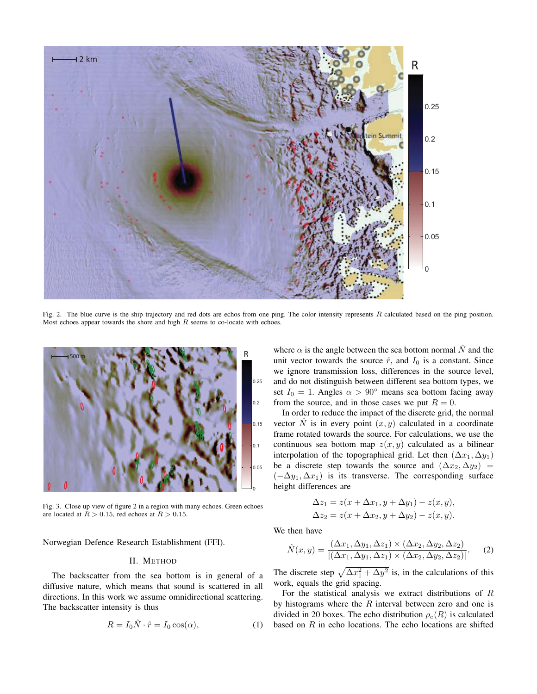

Fig. 2. The blue curve is the ship trajectory and red dots are echos from one ping. The color intensity represents  $R$  calculated based on the ping position. Most echoes appear towards the shore and high  $R$  seems to co-locate with echoes.



Fig. 3. Close up view of figure 2 in a region with many echoes. Green echoes are located at  $R > 0.15$ , red echoes at  $R > 0.15$ .

Norwegian Defence Research Establishment (FFI).

### II. METHOD

The backscatter from the sea bottom is in general of a diffusive nature, which means that sound is scattered in all directions. In this work we assume omnidirectional scattering. The backscatter intensity is thus

$$
R = I_0 \hat{N} \cdot \hat{r} = I_0 \cos(\alpha), \tag{1}
$$

where  $\alpha$  is the angle between the sea bottom normal  $\hat{N}$  and the unit vector towards the source  $\hat{r}$ , and  $I_0$  is a constant. Since we ignore transmission loss, differences in the source level, and do not distinguish between different sea bottom types, we set  $I_0 = 1$ . Angles  $\alpha > 90^\circ$  means sea bottom facing away from the source, and in those cases we put  $R = 0$ .

In order to reduce the impact of the discrete grid, the normal vector  $\hat{N}$  is in every point  $(x, y)$  calculated in a coordinate frame rotated towards the source. For calculations, we use the continuous sea bottom map  $z(x, y)$  calculated as a bilinear interpolation of the topographical grid. Let then  $(\Delta x_1, \Delta y_1)$ be a discrete step towards the source and  $(\Delta x_2, \Delta y_2)$  =  $(-\Delta y_1, \Delta x_1)$  is its transverse. The corresponding surface height differences are

$$
\Delta z_1 = z(x + \Delta x_1, y + \Delta y_1) - z(x, y),
$$
  
\n
$$
\Delta z_2 = z(x + \Delta x_2, y + \Delta y_2) - z(x, y).
$$

We then have

$$
\hat{N}(x,y) = \frac{(\Delta x_1, \Delta y_1, \Delta z_1) \times (\Delta x_2, \Delta y_2, \Delta z_2)}{|(\Delta x_1, \Delta y_1, \Delta z_1) \times (\Delta x_2, \Delta y_2, \Delta z_2)|}.
$$
 (2)

The discrete step  $\sqrt{\Delta x_1^2 + \Delta y^2}$  is, in the calculations of this work, equals the grid spacing.

For the statistical analysis we extract distributions of  $R$ by histograms where the  $R$  interval between zero and one is divided in 20 boxes. The echo distribution  $\rho_e(R)$  is calculated based on  $R$  in echo locations. The echo locations are shifted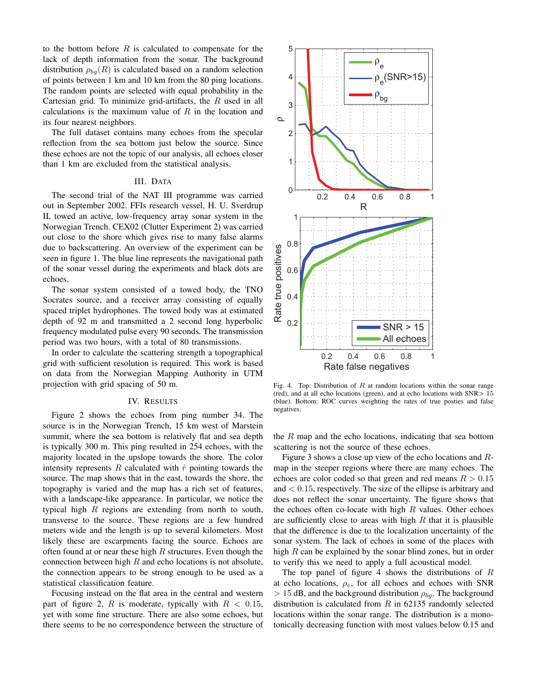to the bottom before  $R$  is calculated to compensate for the lack of depth information from the sonar. The background distribution  $\rho_{ba}(R)$  is calculated based on a random selection of points between 1 km and 10 km from the 80 ping locations. The random points are selected with equal probability in the Cartesian grid. To minimize grid-artifacts, the  $R$  used in all calculations is the maximum value of  $R$  in the location and its four nearest neighbors.

The full dataset contains many echoes from the specular reflection from the sea bottom just below the source. Since these echoes are not the topic of our analysis, all echoes closer than 1 km are excluded from the statistical analysis.

# III. DATA

The second trial of the NAT III programme was carried out in September 2002. FFIs research vessel, H. U. Sverdrup II, towed an active, low-frequency array sonar system in the Norwegian Trench. CEX02 (Clutter Experiment 2) was carried out close to the shore which gives rise to many false alarms due to backscattering. An overview of the experiment can be seen in figure 1. The blue line represents the navigational path of the sonar vessel during the experiments and black dots are echoes.

The sonar system consisted of a towed body, the TNO Socrates source, and a receiver array consisting of equally spaced triplet hydrophones. The towed body was at estimated depth of 92 m and transmitted a 2 second long hyperbolic frequency modulated pulse every 90 seconds. The transmission period was two hours, with a total of 80 transmissions.

In order to calculate the scattering strength a topographical grid with sufficient resolution is required. This work is based on data from the Norwegian Mapping Authority in UTM projection with grid spacing of 50 m.

#### IV. RESULTS

Figure 2 shows the echoes from ping number 34. The source is in the Norwegian Trench, 15 km west of Marstein summit, where the sea bottom is relatively flat and sea depth is typically 300 m. This ping resulted in 254 echoes, with the majority located in the upslope towards the shore. The color intensity represents  $R$  calculated with  $\hat{r}$  pointing towards the source. The map shows that in the east, towards the shore, the topography is varied and the map has a rich set of features, with a landscape-like appearance. In particular, we notice the typical high  $R$  regions are extending from north to south, transverse to the source. These regions are a few hundred meters wide and the length is up to several kilometers. Most likely these are escarpments facing the source. Echoes are often found at or near these high  $R$  structures. Even though the connection between high  $R$  and echo locations is not absolute, the connection appears to be strong enough to be used as a statistical classification feature.

Focusing instead on the flat area in the central and western part of figure 2, R is moderate, typically with  $R < 0.15$ , yet with some fine structure. There are also some echoes, but there seems to be no correspondence between the structure of



Fig. 4. Top: Distribution of  $R$  at random locations within the sonar range (red), and at all echo locations (green), and at echo locations with  $SNR > 15$ (blue). Bottom: ROC curves weighting the rates of true posties and false negatives.

the  $R$  map and the echo locations, indicating that sea bottom scattering is not the source of these echoes.

Figure 3 shows a close up view of the echo locations and Rmap in the steeper regions where there are many echoes. The echoes are color coded so that green and red means  $R > 0.15$ and  $< 0.15$ , respectively. The size of the ellipse is arbitrary and does not reflect the sonar uncertainty. The figure shows that the echoes often co-locate with high  $R$  values. Other echoes are sufficiently close to areas with high  $R$  that it is plausible that the difference is due to the localization uncertainty of the sonar system. The lack of echoes in some of the places with high  $R$  can be explained by the sonar blind zones, but in order to verify this we need to apply a full acoustical model.

The top panel of figure 4 shows the distributions of  $R$ at echo locations,  $\rho_e$ , for all echoes and echoes with SNR  $> 15$  dB, and the background distribution  $\rho_{ba}$ . The background distribution is calculated from  $R$  in 62135 randomly selected locations within the sonar range. The distribution is a monotonically decreasing function with most values below 0.15 and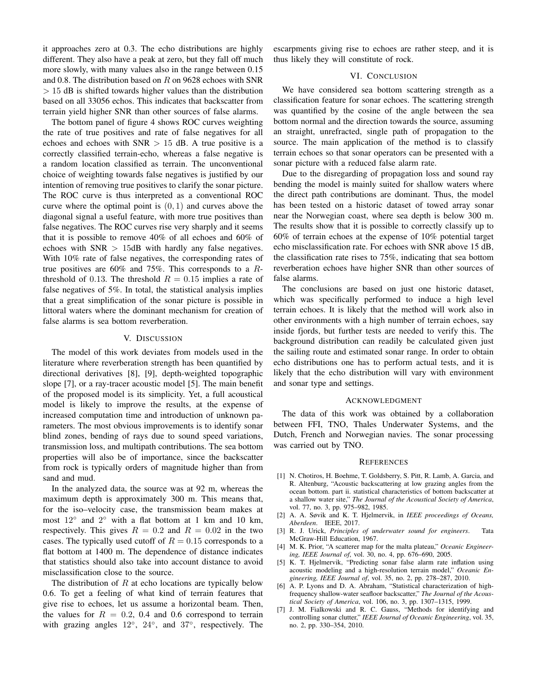it approaches zero at 0.3. The echo distributions are highly different. They also have a peak at zero, but they fall off much more slowly, with many values also in the range between 0.15 and 0.8. The distribution based on  $R$  on 9628 echoes with SNR  $> 15$  dB is shifted towards higher values than the distribution based on all 33056 echos. This indicates that backscatter from terrain yield higher SNR than other sources of false alarms.

The bottom panel of figure 4 shows ROC curves weighting the rate of true positives and rate of false negatives for all echoes and echoes with  $SNR > 15$  dB. A true positive is a correctly classified terrain-echo, whereas a false negative is a random location classified as terrain. The unconventional choice of weighting towards false negatives is justified by our intention of removing true positives to clarify the sonar picture. The ROC curve is thus interpreted as a conventional ROC curve where the optimal point is  $(0, 1)$  and curves above the diagonal signal a useful feature, with more true positives than false negatives. The ROC curves rise very sharply and it seems that it is possible to remove 40% of all echoes and 60% of echoes with  $SNR > 15dB$  with hardly any false negatives. With 10% rate of false negatives, the corresponding rates of true positives are 60% and 75%. This corresponds to a Rthreshold of 0.13. The threshold  $R = 0.15$  implies a rate of false negatives of 5%. In total, the statistical analysis implies that a great simplification of the sonar picture is possible in littoral waters where the dominant mechanism for creation of false alarms is sea bottom reverberation.

## V. DISCUSSION

The model of this work deviates from models used in the literature where reverberation strength has been quantified by directional derivatives [8], [9], depth-weighted topographic slope [7], or a ray-tracer acoustic model [5]. The main benefit of the proposed model is its simplicity. Yet, a full acoustical model is likely to improve the results, at the expense of increased computation time and introduction of unknown parameters. The most obvious improvements is to identify sonar blind zones, bending of rays due to sound speed variations, transmission loss, and multipath contributions. The sea bottom properties will also be of importance, since the backscatter from rock is typically orders of magnitude higher than from sand and mud.

In the analyzed data, the source was at 92 m, whereas the maximum depth is approximately 300 m. This means that, for the iso–velocity case, the transmission beam makes at most 12<sup>°</sup> and 2<sup>°</sup> with a flat bottom at 1 km and 10 km, respectively. This gives  $R = 0.2$  and  $R = 0.02$  in the two cases. The typically used cutoff of  $R = 0.15$  corresponds to a flat bottom at 1400 m. The dependence of distance indicates that statistics should also take into account distance to avoid misclassification close to the source.

The distribution of  $R$  at echo locations are typically below 0.6. To get a feeling of what kind of terrain features that give rise to echoes, let us assume a horizontal beam. Then, the values for  $R = 0.2$ , 0.4 and 0.6 correspond to terrain with grazing angles  $12^\circ$ ,  $24^\circ$ , and  $37^\circ$ , respectively. The escarpments giving rise to echoes are rather steep, and it is thus likely they will constitute of rock.

## VI. CONCLUSION

We have considered sea bottom scattering strength as a classification feature for sonar echoes. The scattering strength was quantified by the cosine of the angle between the sea bottom normal and the direction towards the source, assuming an straight, unrefracted, single path of propagation to the source. The main application of the method is to classify terrain echoes so that sonar operators can be presented with a sonar picture with a reduced false alarm rate.

Due to the disregarding of propagation loss and sound ray bending the model is mainly suited for shallow waters where the direct path contributions are dominant. Thus, the model has been tested on a historic dataset of towed array sonar near the Norwegian coast, where sea depth is below 300 m. The results show that it is possible to correctly classify up to 60% of terrain echoes at the expense of 10% potential target echo misclassification rate. For echoes with SNR above 15 dB, the classification rate rises to 75%, indicating that sea bottom reverberation echoes have higher SNR than other sources of false alarms.

The conclusions are based on just one historic dataset, which was specifically performed to induce a high level terrain echoes. It is likely that the method will work also in other environments with a high number of terrain echoes, say inside fjords, but further tests are needed to verify this. The background distribution can readily be calculated given just the sailing route and estimated sonar range. In order to obtain echo distributions one has to perform actual tests, and it is likely that the echo distribution will vary with environment and sonar type and settings.

# ACKNOWLEDGMENT

The data of this work was obtained by a collaboration between FFI, TNO, Thales Underwater Systems, and the Dutch, French and Norwegian navies. The sonar processing was carried out by TNO.

#### **REFERENCES**

- [1] N. Chotiros, H. Boehme, T. Goldsberry, S. Pitt, R. Lamb, A. Garcia, and R. Altenburg, "Acoustic backscattering at low grazing angles from the ocean bottom. part ii. statistical characteristics of bottom backscatter at a shallow water site," *The Journal of the Acoustical Society of America*, vol. 77, no. 3, pp. 975–982, 1985.
- [2] A. A. Søvik and K. T. Hjelmervik, in *IEEE proceedings of Oceans, Aberdeen*. IEEE, 2017.
- [3] R. J. Urick, *Principles of underwater sound for engineers*. Tata McGraw-Hill Education, 1967.
- [4] M. K. Prior, "A scatterer map for the malta plateau," *Oceanic Engineering, IEEE Journal of*, vol. 30, no. 4, pp. 676–690, 2005.
- [5] K. T. Hjelmervik, "Predicting sonar false alarm rate inflation using acoustic modeling and a high-resolution terrain model," *Oceanic Engineering, IEEE Journal of*, vol. 35, no. 2, pp. 278–287, 2010.
- [6] A. P. Lyons and D. A. Abraham, "Statistical characterization of highfrequency shallow-water seafloor backscatter," *The Journal of the Acoustical Society of America*, vol. 106, no. 3, pp. 1307–1315, 1999.
- [7] J. M. Fialkowski and R. C. Gauss, "Methods for identifying and controlling sonar clutter," *IEEE Journal of Oceanic Engineering*, vol. 35, no. 2, pp. 330–354, 2010.